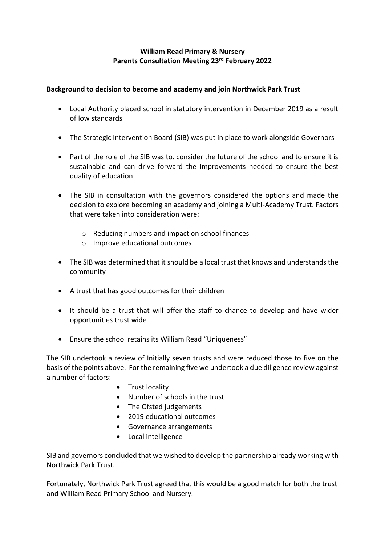## **William Read Primary & Nursery Parents Consultation Meeting 23rd February 2022**

## **Background to decision to become and academy and join Northwick Park Trust**

- Local Authority placed school in statutory intervention in December 2019 as a result of low standards
- The Strategic Intervention Board (SIB) was put in place to work alongside Governors
- Part of the role of the SIB was to. consider the future of the school and to ensure it is sustainable and can drive forward the improvements needed to ensure the best quality of education
- The SIB in consultation with the governors considered the options and made the decision to explore becoming an academy and joining a Multi-Academy Trust. Factors that were taken into consideration were:
	- o Reducing numbers and impact on school finances
	- o Improve educational outcomes
- The SIB was determined that it should be a local trust that knows and understands the community
- A trust that has good outcomes for their children
- It should be a trust that will offer the staff to chance to develop and have wider opportunities trust wide
- Ensure the school retains its William Read "Uniqueness"

The SIB undertook a review of Initially seven trusts and were reduced those to five on the basis of the points above. For the remaining five we undertook a due diligence review against a number of factors:

- Trust locality
- Number of schools in the trust
- The Ofsted judgements
- 2019 educational outcomes
- Governance arrangements
- Local intelligence

SIB and governors concluded that we wished to develop the partnership already working with Northwick Park Trust.

Fortunately, Northwick Park Trust agreed that this would be a good match for both the trust and William Read Primary School and Nursery.